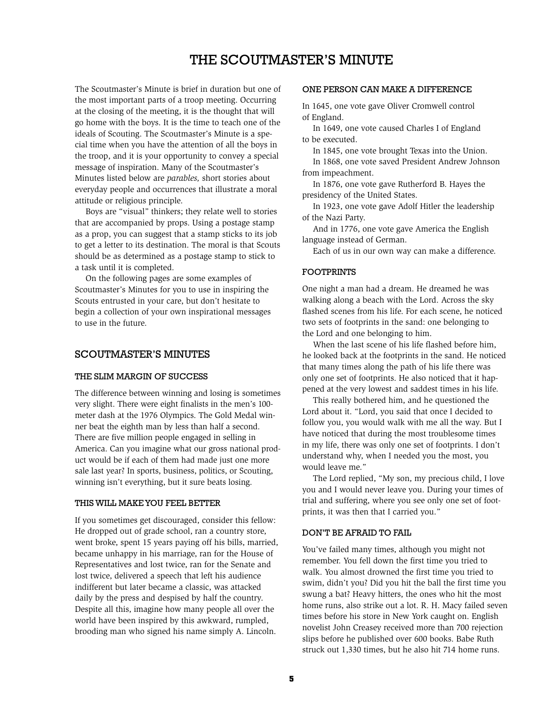# The Scoutmaster's Minute

The Scoutmaster's Minute is brief in duration but one of the most important parts of a troop meeting. Occurring at the closing of the meeting, it is the thought that will go home with the boys. It is the time to teach one of the ideals of Scouting. The Scoutmaster's Minute is a special time when you have the attention of all the boys in the troop, and it is your opportunity to convey a special message of inspiration. Many of the Scoutmaster's Minutes listed below are *parables,* short stories about everyday people and occurrences that illustrate a moral attitude or religious principle.

Boys are "visual" thinkers; they relate well to stories that are accompanied by props. Using a postage stamp as a prop, you can suggest that a stamp sticks to its job to get a letter to its destination. The moral is that Scouts should be as determined as a postage stamp to stick to a task until it is completed.

On the following pages are some examples of Scoutmaster's Minutes for you to use in inspiring the Scouts entrusted in your care, but don't hesitate to begin a collection of your own inspirational messages to use in the future.

# Scoutmaster's Minutes

### The Slim Margin of Success

The difference between winning and losing is sometimes very slight. There were eight finalists in the men's 100 meter dash at the 1976 Olympics. The Gold Medal winner beat the eighth man by less than half a second. There are five million people engaged in selling in America. Can you imagine what our gross national product would be if each of them had made just one more sale last year? In sports, business, politics, or Scouting, winning isn't everything, but it sure beats losing.

#### This Will Make You Feel Better

If you sometimes get discouraged, consider this fellow: He dropped out of grade school, ran a country store, went broke, spent 15 years paying off his bills, married, became unhappy in his marriage, ran for the House of Representatives and lost twice, ran for the Senate and lost twice, delivered a speech that left his audience indifferent but later became a classic, was attacked daily by the press and despised by half the country. Despite all this, imagine how many people all over the world have been inspired by this awkward, rumpled, brooding man who signed his name simply A. Lincoln.

### One Person Can Make a Difference

In 1645, one vote gave Oliver Cromwell control of England.

In 1649, one vote caused Charles I of England to be executed.

In 1845, one vote brought Texas into the Union.

In 1868, one vote saved President Andrew Johnson from impeachment.

In 1876, one vote gave Rutherford B. Hayes the presidency of the United States.

In 1923, one vote gave Adolf Hitler the leadership of the Nazi Party.

And in 1776, one vote gave America the English language instead of German.

Each of us in our own way can make a difference.

#### **FOOTPRINTS**

One night a man had a dream. He dreamed he was walking along a beach with the Lord. Across the sky flashed scenes from his life. For each scene, he noticed two sets of footprints in the sand: one belonging to the Lord and one belonging to him.

When the last scene of his life flashed before him, he looked back at the footprints in the sand. He noticed that many times along the path of his life there was only one set of footprints. He also noticed that it happened at the very lowest and saddest times in his life.

This really bothered him, and he questioned the Lord about it. "Lord, you said that once I decided to follow you, you would walk with me all the way. But I have noticed that during the most troublesome times in my life, there was only one set of footprints. I don't understand why, when I needed you the most, you would leave me."

The Lord replied, "My son, my precious child, I love you and I would never leave you. During your times of trial and suffering, where you see only one set of footprints, it was then that I carried you."

#### Don't Be Afraid to Fail

You've failed many times, although you might not remember. You fell down the first time you tried to walk. You almost drowned the first time you tried to swim, didn't you? Did you hit the ball the first time you swung a bat? Heavy hitters, the ones who hit the most home runs, also strike out a lot. R. H. Macy failed seven times before his store in New York caught on. English novelist John Creasey received more than 700 rejection slips before he published over 600 books. Babe Ruth struck out 1,330 times, but he also hit 714 home runs.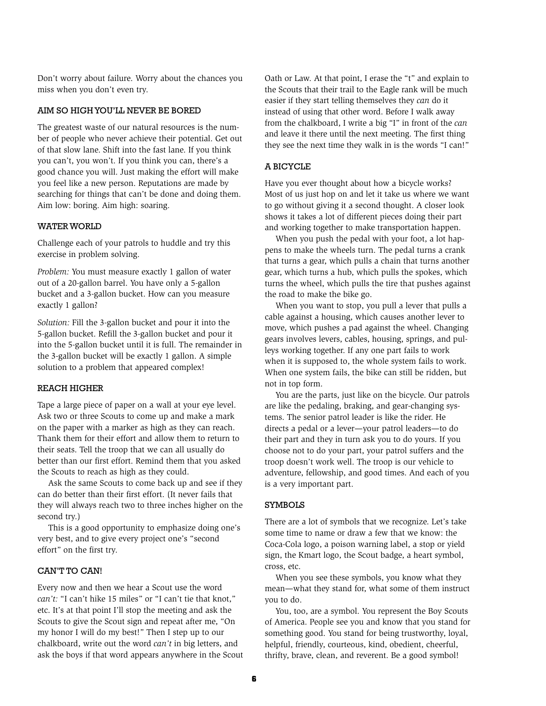Don't worry about failure. Worry about the chances you miss when you don't even try.

# Aim So High You'll Never Be Bored

The greatest waste of our natural resources is the number of people who never achieve their potential. Get out of that slow lane. Shift into the fast lane. If you think you can't, you won't. If you think you can, there's a good chance you will. Just making the effort will make you feel like a new person. Reputations are made by searching for things that can't be done and doing them. Aim low: boring. Aim high: soaring.

### WATER WORLD

Challenge each of your patrols to huddle and try this exercise in problem solving.

*Problem:* You must measure exactly 1 gallon of water out of a 20-gallon barrel. You have only a 5-gallon bucket and a 3-gallon bucket. How can you measure exactly 1 gallon?

*Solution:* Fill the 3-gallon bucket and pour it into the 5-gallon bucket. Refill the 3-gallon bucket and pour it into the 5-gallon bucket until it is full. The remainder in the 3-gallon bucket will be exactly 1 gallon. A simple solution to a problem that appeared complex!

#### Reach Higher

Tape a large piece of paper on a wall at your eye level. Ask two or three Scouts to come up and make a mark on the paper with a marker as high as they can reach. Thank them for their effort and allow them to return to their seats. Tell the troop that we can all usually do better than our first effort. Remind them that you asked the Scouts to reach as high as they could.

Ask the same Scouts to come back up and see if they can do better than their first effort. (It never fails that they will always reach two to three inches higher on the second try.)

This is a good opportunity to emphasize doing one's very best, and to give every project one's "second effort" on the first try.

#### CAN'T TO CAN!

Every now and then we hear a Scout use the word *can't:* "I can't hike 15 miles" or "I can't tie that knot," etc. It's at that point I'll stop the meeting and ask the Scouts to give the Scout sign and repeat after me, "On my honor I will do my best!" Then I step up to our chalkboard, write out the word *can't* in big letters, and ask the boys if that word appears anywhere in the Scout Oath or Law. At that point, I erase the "t" and explain to the Scouts that their trail to the Eagle rank will be much easier if they start telling themselves they *can* do it instead of using that other word. Before I walk away from the chalkboard, I write a big "I" in front of the *can* and leave it there until the next meeting. The first thing they see the next time they walk in is the words "I can!"

# A Bicycle

Have you ever thought about how a bicycle works? Most of us just hop on and let it take us where we want to go without giving it a second thought. A closer look shows it takes a lot of different pieces doing their part and working together to make transportation happen.

When you push the pedal with your foot, a lot happens to make the wheels turn. The pedal turns a crank that turns a gear, which pulls a chain that turns another gear, which turns a hub, which pulls the spokes, which turns the wheel, which pulls the tire that pushes against the road to make the bike go.

When you want to stop, you pull a lever that pulls a cable against a housing, which causes another lever to move, which pushes a pad against the wheel. Changing gears involves levers, cables, housing, springs, and pulleys working together. If any one part fails to work when it is supposed to, the whole system fails to work. When one system fails, the bike can still be ridden, but not in top form.

You are the parts, just like on the bicycle. Our patrols are like the pedaling, braking, and gear-changing systems. The senior patrol leader is like the rider. He directs a pedal or a lever—your patrol leaders—to do their part and they in turn ask you to do yours. If you choose not to do your part, your patrol suffers and the troop doesn't work well. The troop is our vehicle to adventure, fellowship, and good times. And each of you is a very important part.

#### Symbols

There are a lot of symbols that we recognize. Let's take some time to name or draw a few that we know: the Coca-Cola logo, a poison warning label, a stop or yield sign, the Kmart logo, the Scout badge, a heart symbol, cross, etc.

When you see these symbols, you know what they mean—what they stand for, what some of them instruct you to do.

You, too, are a symbol. You represent the Boy Scouts of America. People see you and know that you stand for something good. You stand for being trustworthy, loyal, helpful, friendly, courteous, kind, obedient, cheerful, thrifty, brave, clean, and reverent. Be a good symbol!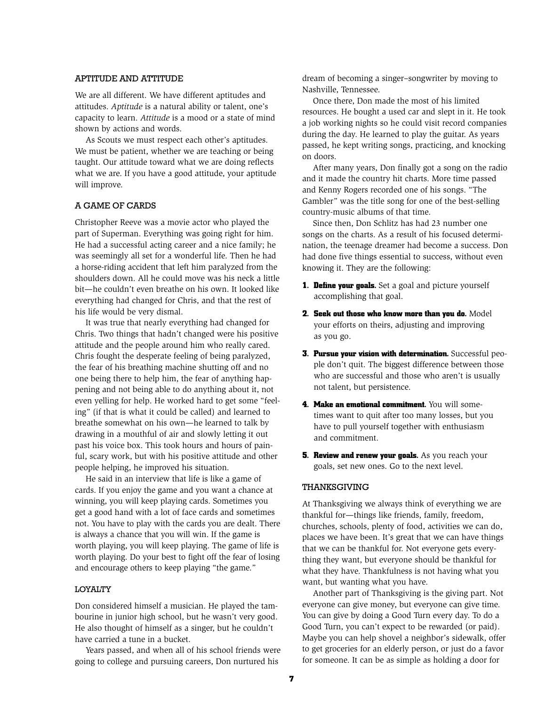### Aptitude and Attitude

We are all different. We have different aptitudes and attitudes. *Aptitude* is a natural ability or talent, one's capacity to learn. *Attitude* is a mood or a state of mind shown by actions and words.

As Scouts we must respect each other's aptitudes. We must be patient, whether we are teaching or being taught. Our attitude toward what we are doing reflects what we are. If you have a good attitude, your aptitude will improve.

### A Game of Cards

Christopher Reeve was a movie actor who played the part of Superman. Everything was going right for him. He had a successful acting career and a nice family; he was seemingly all set for a wonderful life. Then he had a horse-riding accident that left him paralyzed from the shoulders down. All he could move was his neck a little bit—he couldn't even breathe on his own. It looked like everything had changed for Chris, and that the rest of his life would be very dismal.

It was true that nearly everything had changed for Chris. Two things that hadn't changed were his positive attitude and the people around him who really cared. Chris fought the desperate feeling of being paralyzed, the fear of his breathing machine shutting off and no one being there to help him, the fear of anything happening and not being able to do anything about it, not even yelling for help. He worked hard to get some "feeling" (if that is what it could be called) and learned to breathe somewhat on his own—he learned to talk by drawing in a mouthful of air and slowly letting it out past his voice box. This took hours and hours of painful, scary work, but with his positive attitude and other people helping, he improved his situation.

He said in an interview that life is like a game of cards. If you enjoy the game and you want a chance at winning, you will keep playing cards. Sometimes you get a good hand with a lot of face cards and sometimes not. You have to play with the cards you are dealt. There is always a chance that you will win. If the game is worth playing, you will keep playing. The game of life is worth playing. Do your best to fight off the fear of losing and encourage others to keep playing "the game."

### **LOYALTY**

Don considered himself a musician. He played the tambourine in junior high school, but he wasn't very good. He also thought of himself as a singer, but he couldn't have carried a tune in a bucket.

Years passed, and when all of his school friends were going to college and pursuing careers, Don nurtured his

dream of becoming a singer–songwriter by moving to Nashville, Tennessee.

Once there, Don made the most of his limited resources. He bought a used car and slept in it. He took a job working nights so he could visit record companies during the day. He learned to play the guitar. As years passed, he kept writing songs, practicing, and knocking on doors.

After many years, Don finally got a song on the radio and it made the country hit charts. More time passed and Kenny Rogers recorded one of his songs. "The Gambler" was the title song for one of the best-selling country-music albums of that time.

Since then, Don Schlitz has had 23 number one songs on the charts. As a result of his focused determination, the teenage dreamer had become a success. Don had done five things essential to success, without even knowing it. They are the following:

- **1. Define your goals.** Set a goal and picture yourself accomplishing that goal.
- **2. Seek out those who know more than you do.** Model your efforts on theirs, adjusting and improving as you go.
- **3. Pursue your vision with determination.** Successful people don't quit. The biggest difference between those who are successful and those who aren't is usually not talent, but persistence.
- **4. Make an emotional commitment.** You will sometimes want to quit after too many losses, but you have to pull yourself together with enthusiasm and commitment.
- **5. Review and renew your goals.** As you reach your goals, set new ones. Go to the next level.

#### Thanksgiving

At Thanksgiving we always think of everything we are thankful for—things like friends, family, freedom, churches, schools, plenty of food, activities we can do, places we have been. It's great that we can have things that we can be thankful for. Not everyone gets everything they want, but everyone should be thankful for what they have. Thankfulness is not having what you want, but wanting what you have.

Another part of Thanksgiving is the giving part. Not everyone can give money, but everyone can give time. You can give by doing a Good Turn every day. To do a Good Turn, you can't expect to be rewarded (or paid). Maybe you can help shovel a neighbor's sidewalk, offer to get groceries for an elderly person, or just do a favor for someone. It can be as simple as holding a door for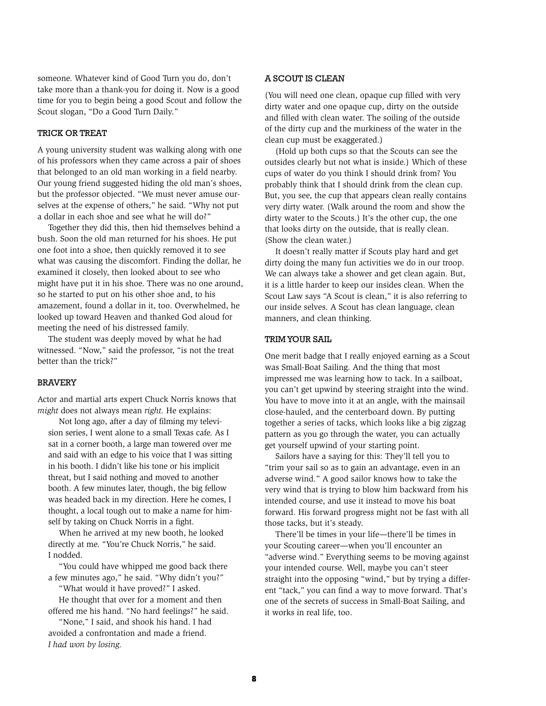someone. Whatever kind of Good Turn you do, don't take more than a thank-you for doing it. Now is a good time for you to begin being a good Scout and follow the Scout slogan, "Do a Good Turn Daily."

#### Trick or Treat

A young university student was walking along with one of his professors when they came across a pair of shoes that belonged to an old man working in a field nearby. Our young friend suggested hiding the old man's shoes, but the professor objected. "We must never amuse ourselves at the expense of others," he said. "Why not put a dollar in each shoe and see what he will do?"

Together they did this, then hid themselves behind a bush. Soon the old man returned for his shoes. He put one foot into a shoe, then quickly removed it to see what was causing the discomfort. Finding the dollar, he examined it closely, then looked about to see who might have put it in his shoe. There was no one around, so he started to put on his other shoe and, to his amazement, found a dollar in it, too. Overwhelmed, he looked up toward Heaven and thanked God aloud for meeting the need of his distressed family.

The student was deeply moved by what he had witnessed. "Now," said the professor, "is not the treat better than the trick?"

#### Bravery

Actor and martial arts expert Chuck Norris knows that *might* does not always mean *right.* He explains:

Not long ago, after a day of filming my television series, I went alone to a small Texas cafe. As I sat in a corner booth, a large man towered over me and said with an edge to his voice that I was sitting in his booth. I didn't like his tone or his implicit threat, but I said nothing and moved to another booth. A few minutes later, though, the big fellow was headed back in my direction. Here he comes, I thought, a local tough out to make a name for himself by taking on Chuck Norris in a fight.

When he arrived at my new booth, he looked directly at me. "You're Chuck Norris," he said. I nodded.

"You could have whipped me good back there a few minutes ago," he said. "Why didn't you?"

"What would it have proved?" I asked.

He thought that over for a moment and then offered me his hand. "No hard feelings?" he said.

"None," I said, and shook his hand. I had avoided a confrontation and made a friend. *I had won by losing.*

#### A Scout Is Clean

(You will need one clean, opaque cup filled with very dirty water and one opaque cup, dirty on the outside and filled with clean water. The soiling of the outside of the dirty cup and the murkiness of the water in the clean cup must be exaggerated.)

(Hold up both cups so that the Scouts can see the outsides clearly but not what is inside.) Which of these cups of water do you think I should drink from? You probably think that I should drink from the clean cup. But, you see, the cup that appears clean really contains very dirty water. (Walk around the room and show the dirty water to the Scouts.) It's the other cup, the one that looks dirty on the outside, that is really clean. (Show the clean water.)

It doesn't really matter if Scouts play hard and get dirty doing the many fun activities we do in our troop. We can always take a shower and get clean again. But, it is a little harder to keep our insides clean. When the Scout Law says "A Scout is clean," it is also referring to our inside selves. A Scout has clean language, clean manners, and clean thinking.

#### Trim Your Sail

One merit badge that I really enjoyed earning as a Scout was Small-Boat Sailing. And the thing that most impressed me was learning how to tack. In a sailboat, you can't get upwind by steering straight into the wind. You have to move into it at an angle, with the mainsail close-hauled, and the centerboard down. By putting together a series of tacks, which looks like a big zigzag pattern as you go through the water, you can actually get yourself upwind of your starting point.

Sailors have a saying for this: They'll tell you to "trim your sail so as to gain an advantage, even in an adverse wind." A good sailor knows how to take the very wind that is trying to blow him backward from his intended course, and use it instead to move his boat forward. His forward progress might not be fast with all those tacks, but it's steady.

There'll be times in your life—there'll be times in your Scouting career—when you'll encounter an "adverse wind." Everything seems to be moving against your intended course. Well, maybe you can't steer straight into the opposing "wind," but by trying a different "tack," you can find a way to move forward. That's one of the secrets of success in Small-Boat Sailing, and it works in real life, too.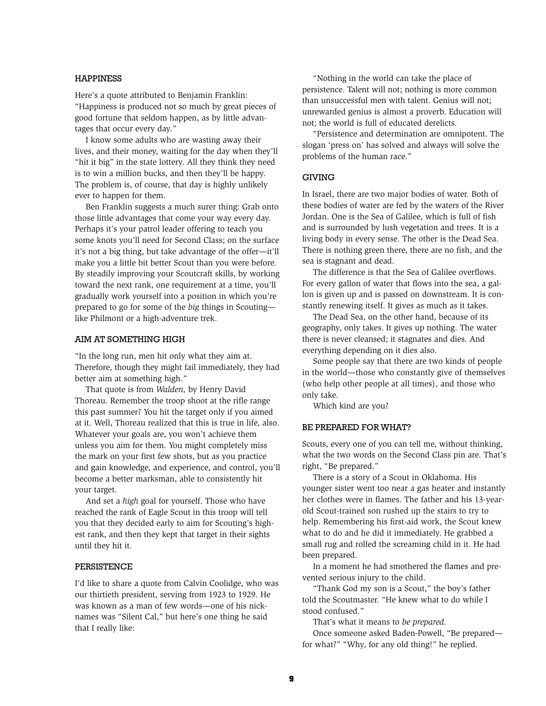### Happiness

Here's a quote attributed to Benjamin Franklin: "Happiness is produced not so much by great pieces of good fortune that seldom happen, as by little advantages that occur every day."

I know some adults who are wasting away their lives, and their money, waiting for the day when they'll "hit it big" in the state lottery. All they think they need is to win a million bucks, and then they'll be happy. The problem is, of course, that day is highly unlikely ever to happen for them.

Ben Franklin suggests a much surer thing: Grab onto those little advantages that come your way every day. Perhaps it's your patrol leader offering to teach you some knots you'll need for Second Class; on the surface it's not a big thing, but take advantage of the offer—it'll make you a little bit better Scout than you were before. By steadily improving your Scoutcraft skills, by working toward the next rank, one requirement at a time, you'll gradually work yourself into a position in which you're prepared to go for some of the *big* things in Scouting like Philmont or a high-adventure trek.

#### AIM AT SOMETHING HIGH

"In the long run, men hit only what they aim at. Therefore, though they might fail immediately, they had better aim at something high."

That quote is from *Walden,* by Henry David Thoreau. Remember the troop shoot at the rifle range this past summer? You hit the target only if you aimed at it. Well, Thoreau realized that this is true in life, also. Whatever your goals are, you won't achieve them unless you aim for them. You might completely miss the mark on your first few shots, but as you practice and gain knowledge, and experience, and control, you'll become a better marksman, able to consistently hit your target.

And set a *high* goal for yourself. Those who have reached the rank of Eagle Scout in this troop will tell you that they decided early to aim for Scouting's highest rank, and then they kept that target in their sights until they hit it.

#### **PERSISTENCE**

I'd like to share a quote from Calvin Coolidge, who was our thirtieth president, serving from 1923 to 1929. He was known as a man of few words—one of his nicknames was "Silent Cal," but here's one thing he said that I really like:

"Nothing in the world can take the place of persistence. Talent will not; nothing is more common than unsuccessful men with talent. Genius will not; unrewarded genius is almost a proverb. Education will not; the world is full of educated derelicts.

"Persistence and determination are omnipotent. The slogan 'press on' has solved and always will solve the problems of the human race."

#### **GIVING**

In Israel, there are two major bodies of water. Both of these bodies of water are fed by the waters of the River Jordan. One is the Sea of Galilee, which is full of fish and is surrounded by lush vegetation and trees. It is a living body in every sense. The other is the Dead Sea. There is nothing green there, there are no fish, and the sea is stagnant and dead.

The difference is that the Sea of Galilee overflows. For every gallon of water that flows into the sea, a gallon is given up and is passed on downstream. It is constantly renewing itself. It gives as much as it takes.

The Dead Sea, on the other hand, because of its geography, only takes. It gives up nothing. The water there is never cleansed; it stagnates and dies. And everything depending on it dies also.

Some people say that there are two kinds of people in the world—those who constantly give of themselves (who help other people at all times), and those who only take.

Which kind are you?

#### BE PREPARED FOR WHAT?

Scouts, every one of you can tell me, without thinking, what the two words on the Second Class pin are. That's right, "Be prepared."

There is a story of a Scout in Oklahoma. His younger sister went too near a gas heater and instantly her clothes were in flames. The father and his 13-yearold Scout-trained son rushed up the stairs to try to help. Remembering his first-aid work, the Scout knew what to do and he did it immediately. He grabbed a small rug and rolled the screaming child in it. He had been prepared.

In a moment he had smothered the flames and prevented serious injury to the child.

"Thank God my son is a Scout," the boy's father told the Scoutmaster. "He knew what to do while I stood confused."

That's what it means to *be prepared.*

Once someone asked Baden-Powell, "Be prepared for what?" "Why, for any old thing!" he replied.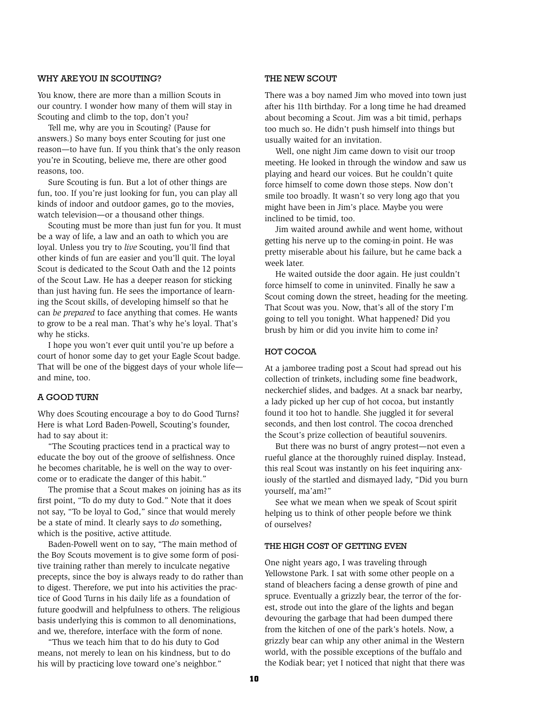### WHY ARE YOU IN SCOUTING?

You know, there are more than a million Scouts in our country. I wonder how many of them will stay in Scouting and climb to the top, don't you?

Tell me, why are you in Scouting? (Pause for answers.) So many boys enter Scouting for just one reason—to have fun. If you think that's the only reason you're in Scouting, believe me, there are other good reasons, too.

Sure Scouting is fun. But a lot of other things are fun, too. If you're just looking for fun, you can play all kinds of indoor and outdoor games, go to the movies, watch television—or a thousand other things.

Scouting must be more than just fun for you. It must be a way of life, a law and an oath to which you are loyal. Unless you try to *live* Scouting, you'll find that other kinds of fun are easier and you'll quit. The loyal Scout is dedicated to the Scout Oath and the 12 points of the Scout Law. He has a deeper reason for sticking than just having fun. He sees the importance of learning the Scout skills, of developing himself so that he can *be prepared* to face anything that comes. He wants to grow to be a real man. That's why he's loyal. That's why he sticks.

I hope you won't ever quit until you're up before a court of honor some day to get your Eagle Scout badge. That will be one of the biggest days of your whole life and mine, too.

#### A Good Turn

Why does Scouting encourage a boy to do Good Turns? Here is what Lord Baden-Powell, Scouting's founder, had to say about it:

"The Scouting practices tend in a practical way to educate the boy out of the groove of selfishness. Once he becomes charitable, he is well on the way to overcome or to eradicate the danger of this habit."

The promise that a Scout makes on joining has as its first point, "To do my duty to God." Note that it does not say, "To be loyal to God," since that would merely be a state of mind. It clearly says to *do* something, which is the positive, active attitude.

Baden-Powell went on to say, "The main method of the Boy Scouts movement is to give some form of positive training rather than merely to inculcate negative precepts, since the boy is always ready to do rather than to digest. Therefore, we put into his activities the practice of Good Turns in his daily life as a foundation of future goodwill and helpfulness to others. The religious basis underlying this is common to all denominations, and we, therefore, interface with the form of none.

"Thus we teach him that to do his duty to God means, not merely to lean on his kindness, but to do his will by practicing love toward one's neighbor."

### THE NEW SCOUT

There was a boy named Jim who moved into town just after his 11th birthday. For a long time he had dreamed about becoming a Scout. Jim was a bit timid, perhaps too much so. He didn't push himself into things but usually waited for an invitation.

Well, one night Jim came down to visit our troop meeting. He looked in through the window and saw us playing and heard our voices. But he couldn't quite force himself to come down those steps. Now don't smile too broadly. It wasn't so very long ago that you might have been in Jim's place. Maybe you were inclined to be timid, too.

Jim waited around awhile and went home, without getting his nerve up to the coming-in point. He was pretty miserable about his failure, but he came back a week later.

He waited outside the door again. He just couldn't force himself to come in uninvited. Finally he saw a Scout coming down the street, heading for the meeting. That Scout was you. Now, that's all of the story I'm going to tell you tonight. What happened? Did you brush by him or did you invite him to come in?

#### HOT COCOA

At a jamboree trading post a Scout had spread out his collection of trinkets, including some fine beadwork, neckerchief slides, and badges. At a snack bar nearby, a lady picked up her cup of hot cocoa, but instantly found it too hot to handle. She juggled it for several seconds, and then lost control. The cocoa drenched the Scout's prize collection of beautiful souvenirs.

But there was no burst of angry protest—not even a rueful glance at the thoroughly ruined display. Instead, this real Scout was instantly on his feet inquiring anxiously of the startled and dismayed lady, "Did you burn yourself, ma'am?"

See what we mean when we speak of Scout spirit helping us to think of other people before we think of ourselves?

#### THE HIGH COST OF GETTING EVEN

One night years ago, I was traveling through Yellowstone Park. I sat with some other people on a stand of bleachers facing a dense growth of pine and spruce. Eventually a grizzly bear, the terror of the forest, strode out into the glare of the lights and began devouring the garbage that had been dumped there from the kitchen of one of the park's hotels. Now, a grizzly bear can whip any other animal in the Western world, with the possible exceptions of the buffalo and the Kodiak bear; yet I noticed that night that there was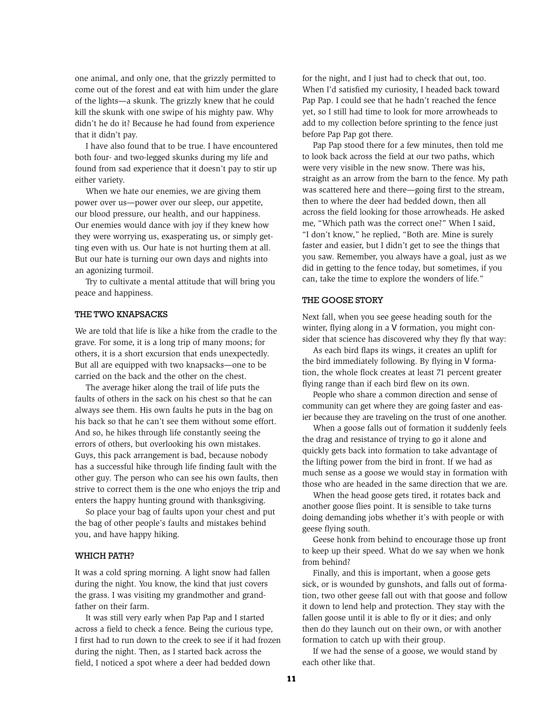one animal, and only one, that the grizzly permitted to come out of the forest and eat with him under the glare of the lights—a skunk. The grizzly knew that he could kill the skunk with one swipe of his mighty paw. Why didn't he do it? Because he had found from experience that it didn't pay.

I have also found that to be true. I have encountered both four- and two-legged skunks during my life and found from sad experience that it doesn't pay to stir up either variety.

When we hate our enemies, we are giving them power over us—power over our sleep, our appetite, our blood pressure, our health, and our happiness. Our enemies would dance with joy if they knew how they were worrying us, exasperating us, or simply getting even with us. Our hate is not hurting them at all. But our hate is turning our own days and nights into an agonizing turmoil.

Try to cultivate a mental attitude that will bring you peace and happiness.

### The Two Knapsacks

We are told that life is like a hike from the cradle to the grave. For some, it is a long trip of many moons; for others, it is a short excursion that ends unexpectedly. But all are equipped with two knapsacks—one to be carried on the back and the other on the chest.

The average hiker along the trail of life puts the faults of others in the sack on his chest so that he can always see them. His own faults he puts in the bag on his back so that he can't see them without some effort. And so, he hikes through life constantly seeing the errors of others, but overlooking his own mistakes. Guys, this pack arrangement is bad, because nobody has a successful hike through life finding fault with the other guy. The person who can see his own faults, then strive to correct them is the one who enjoys the trip and enters the happy hunting ground with thanksgiving.

So place your bag of faults upon your chest and put the bag of other people's faults and mistakes behind you, and have happy hiking.

#### WHICH PATH?

It was a cold spring morning. A light snow had fallen during the night. You know, the kind that just covers the grass. I was visiting my grandmother and grandfather on their farm.

It was still very early when Pap Pap and I started across a field to check a fence. Being the curious type, I first had to run down to the creek to see if it had frozen during the night. Then, as I started back across the field, I noticed a spot where a deer had bedded down

for the night, and I just had to check that out, too. When I'd satisfied my curiosity, I headed back toward Pap Pap. I could see that he hadn't reached the fence yet, so I still had time to look for more arrowheads to add to my collection before sprinting to the fence just before Pap Pap got there.

Pap Pap stood there for a few minutes, then told me to look back across the field at our two paths, which were very visible in the new snow. There was his, straight as an arrow from the barn to the fence. My path was scattered here and there—going first to the stream, then to where the deer had bedded down, then all across the field looking for those arrowheads. He asked me, "Which path was the correct one?" When I said, "I don't know," he replied, "Both are. Mine is surely faster and easier, but I didn't get to see the things that you saw. Remember, you always have a goal, just as we did in getting to the fence today, but sometimes, if you can, take the time to explore the wonders of life."

#### THE GOOSE STORY

Next fall, when you see geese heading south for the winter, flying along in a V formation, you might consider that science has discovered why they fly that way:

As each bird flaps its wings, it creates an uplift for the bird immediately following. By flying in V formation, the whole flock creates at least 71 percent greater flying range than if each bird flew on its own.

People who share a common direction and sense of community can get where they are going faster and easier because they are traveling on the trust of one another.

When a goose falls out of formation it suddenly feels the drag and resistance of trying to go it alone and quickly gets back into formation to take advantage of the lifting power from the bird in front. If we had as much sense as a goose we would stay in formation with those who are headed in the same direction that we are.

When the head goose gets tired, it rotates back and another goose flies point. It is sensible to take turns doing demanding jobs whether it's with people or with geese flying south.

Geese honk from behind to encourage those up front to keep up their speed. What do we say when we honk from behind?

Finally, and this is important, when a goose gets sick, or is wounded by gunshots, and falls out of formation, two other geese fall out with that goose and follow it down to lend help and protection. They stay with the fallen goose until it is able to fly or it dies; and only then do they launch out on their own, or with another formation to catch up with their group.

If we had the sense of a goose, we would stand by each other like that.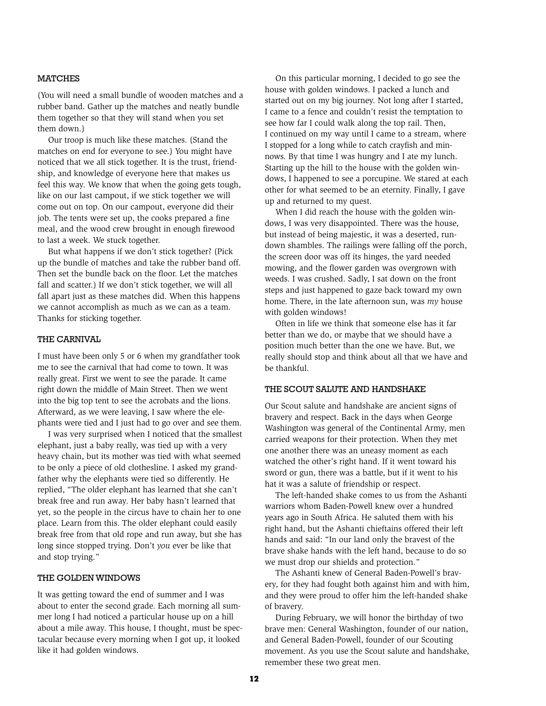### **MATCHES**

(You will need a small bundle of wooden matches and a rubber band. Gather up the matches and neatly bundle them together so that they will stand when you set them down.)

Our troop is much like these matches. (Stand the matches on end for everyone to see.) You might have noticed that we all stick together. It is the trust, friendship, and knowledge of everyone here that makes us feel this way. We know that when the going gets tough, like on our last campout, if we stick together we will come out on top. On our campout, everyone did their job. The tents were set up, the cooks prepared a fine meal, and the wood crew brought in enough firewood to last a week. We stuck together.

But what happens if we don't stick together? (Pick up the bundle of matches and take the rubber band off. Then set the bundle back on the floor. Let the matches fall and scatter.) If we don't stick together, we will all fall apart just as these matches did. When this happens we cannot accomplish as much as we can as a team. Thanks for sticking together.

#### The Carnival

I must have been only 5 or 6 when my grandfather took me to see the carnival that had come to town. It was really great. First we went to see the parade. It came right down the middle of Main Street. Then we went into the big top tent to see the acrobats and the lions. Afterward, as we were leaving, I saw where the elephants were tied and I just had to go over and see them.

I was very surprised when I noticed that the smallest elephant, just a baby really, was tied up with a very heavy chain, but its mother was tied with what seemed to be only a piece of old clothesline. I asked my grandfather why the elephants were tied so differently. He replied, "The older elephant has learned that she can't break free and run away. Her baby hasn't learned that yet, so the people in the circus have to chain her to one place. Learn from this. The older elephant could easily break free from that old rope and run away, but she has long since stopped trying. Don't *you* ever be like that and stop trying."

### The Golden Windows

It was getting toward the end of summer and I was about to enter the second grade. Each morning all summer long I had noticed a particular house up on a hill about a mile away. This house, I thought, must be spectacular because every morning when I got up, it looked like it had golden windows.

On this particular morning, I decided to go see the house with golden windows. I packed a lunch and started out on my big journey. Not long after I started, I came to a fence and couldn't resist the temptation to see how far I could walk along the top rail. Then, I continued on my way until I came to a stream, where I stopped for a long while to catch crayfish and minnows. By that time I was hungry and I ate my lunch. Starting up the hill to the house with the golden windows, I happened to see a porcupine. We stared at each other for what seemed to be an eternity. Finally, I gave up and returned to my quest.

When I did reach the house with the golden windows, I was very disappointed. There was the house, but instead of being majestic, it was a deserted, rundown shambles. The railings were falling off the porch, the screen door was off its hinges, the yard needed mowing, and the flower garden was overgrown with weeds. I was crushed. Sadly, I sat down on the front steps and just happened to gaze back toward my own home. There, in the late afternoon sun, was *my* house with golden windows!

Often in life we think that someone else has it far better than we do, or maybe that we should have a position much better than the one we have. But, we really should stop and think about all that we have and be thankful.

#### The Scout Salute and Handshake

Our Scout salute and handshake are ancient signs of bravery and respect. Back in the days when George Washington was general of the Continental Army, men carried weapons for their protection. When they met one another there was an uneasy moment as each watched the other's right hand. If it went toward his sword or gun, there was a battle, but if it went to his hat it was a salute of friendship or respect.

The left-handed shake comes to us from the Ashanti warriors whom Baden-Powell knew over a hundred years ago in South Africa. He saluted them with his right hand, but the Ashanti chieftains offered their left hands and said: "In our land only the bravest of the brave shake hands with the left hand, because to do so we must drop our shields and protection."

The Ashanti knew of General Baden-Powell's bravery, for they had fought both against him and with him, and they were proud to offer him the left-handed shake of bravery.

During February, we will honor the birthday of two brave men: General Washington, founder of our nation, and General Baden-Powell, founder of our Scouting movement. As you use the Scout salute and handshake, remember these two great men.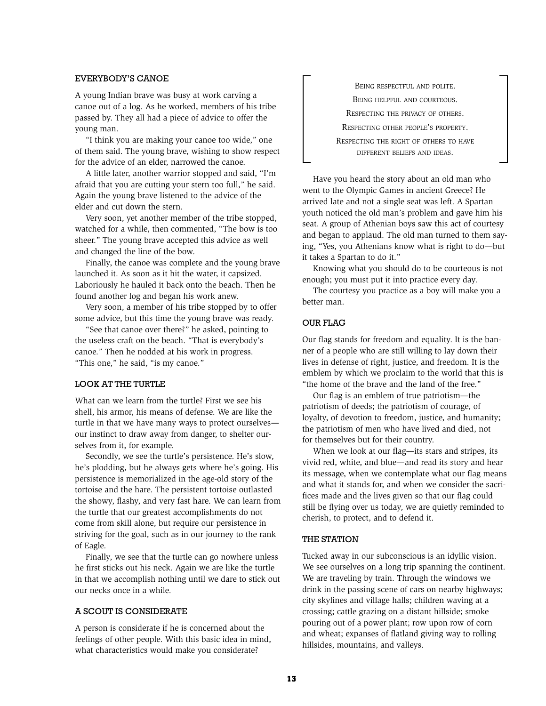### Everybody's Canoe

A young Indian brave was busy at work carving a canoe out of a log. As he worked, members of his tribe passed by. They all had a piece of advice to offer the young man.

"I think you are making your canoe too wide," one of them said. The young brave, wishing to show respect for the advice of an elder, narrowed the canoe.

A little later, another warrior stopped and said, "I'm afraid that you are cutting your stern too full," he said. Again the young brave listened to the advice of the elder and cut down the stern.

Very soon, yet another member of the tribe stopped, watched for a while, then commented, "The bow is too sheer." The young brave accepted this advice as well and changed the line of the bow.

Finally, the canoe was complete and the young brave launched it. As soon as it hit the water, it capsized. Laboriously he hauled it back onto the beach. Then he found another log and began his work anew.

Very soon, a member of his tribe stopped by to offer some advice, but this time the young brave was ready.

"See that canoe over there?" he asked, pointing to the useless craft on the beach. "That is everybody's canoe." Then he nodded at his work in progress. "This one," he said, "is my canoe."

### LOOK AT THE TURTLE

What can we learn from the turtle? First we see his shell, his armor, his means of defense. We are like the turtle in that we have many ways to protect ourselves our instinct to draw away from danger, to shelter ourselves from it, for example.

Secondly, we see the turtle's persistence. He's slow, he's plodding, but he always gets where he's going. His persistence is memorialized in the age-old story of the tortoise and the hare. The persistent tortoise outlasted the showy, flashy, and very fast hare. We can learn from the turtle that our greatest accomplishments do not come from skill alone, but require our persistence in striving for the goal, such as in our journey to the rank of Eagle.

Finally, we see that the turtle can go nowhere unless he first sticks out his neck. Again we are like the turtle in that we accomplish nothing until we dare to stick out our necks once in a while.

### A Scout Is Considerate

A person is considerate if he is concerned about the feelings of other people. With this basic idea in mind, what characteristics would make you considerate?

Being respectful and polite. Being helpful and courteous. Respecting the privacy of others. Respecting other people's property. Respecting the right of others to have different beliefs and ideas.

Have you heard the story about an old man who went to the Olympic Games in ancient Greece? He arrived late and not a single seat was left. A Spartan youth noticed the old man's problem and gave him his seat. A group of Athenian boys saw this act of courtesy and began to applaud. The old man turned to them saying, "Yes, you Athenians know what is right to do—but it takes a Spartan to do it."

Knowing what you should do to be courteous is not enough; you must put it into practice every day.

The courtesy you practice as a boy will make you a better man.

### **OUR FLAG**

Our flag stands for freedom and equality. It is the banner of a people who are still willing to lay down their lives in defense of right, justice, and freedom. It is the emblem by which we proclaim to the world that this is "the home of the brave and the land of the free."

Our flag is an emblem of true patriotism—the patriotism of deeds; the patriotism of courage, of loyalty, of devotion to freedom, justice, and humanity; the patriotism of men who have lived and died, not for themselves but for their country.

When we look at our flag—its stars and stripes, its vivid red, white, and blue—and read its story and hear its message, when we contemplate what our flag means and what it stands for, and when we consider the sacrifices made and the lives given so that our flag could still be flying over us today, we are quietly reminded to cherish, to protect, and to defend it.

#### **THE STATION**

Tucked away in our subconscious is an idyllic vision. We see ourselves on a long trip spanning the continent. We are traveling by train. Through the windows we drink in the passing scene of cars on nearby highways; city skylines and village halls; children waving at a crossing; cattle grazing on a distant hillside; smoke pouring out of a power plant; row upon row of corn and wheat; expanses of flatland giving way to rolling hillsides, mountains, and valleys.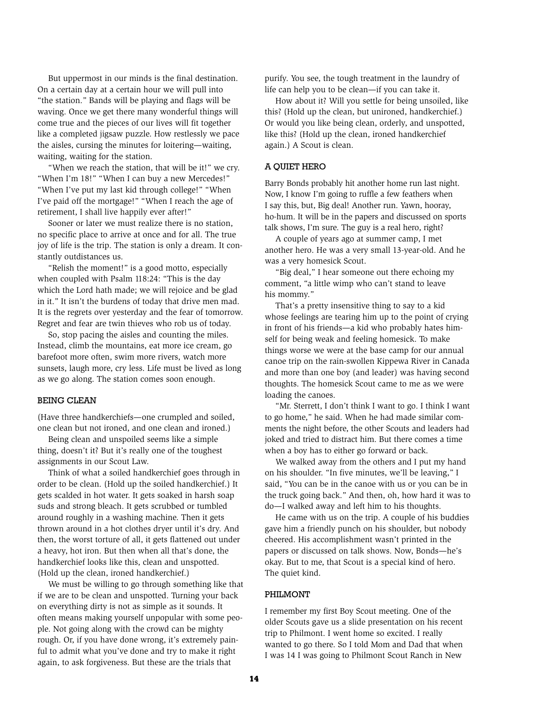But uppermost in our minds is the final destination. On a certain day at a certain hour we will pull into "the station." Bands will be playing and flags will be waving. Once we get there many wonderful things will come true and the pieces of our lives will fit together like a completed jigsaw puzzle. How restlessly we pace the aisles, cursing the minutes for loitering—waiting, waiting, waiting for the station.

"When we reach the station, that will be it!" we cry. "When I'm 18!" "When I can buy a new Mercedes!" "When I've put my last kid through college!" "When I've paid off the mortgage!" "When I reach the age of retirement, I shall live happily ever after!"

Sooner or later we must realize there is no station, no specific place to arrive at once and for all. The true joy of life is the trip. The station is only a dream. It constantly outdistances us.

"Relish the moment!" is a good motto, especially when coupled with Psalm 118:24: "This is the day which the Lord hath made; we will rejoice and be glad in it." It isn't the burdens of today that drive men mad. It is the regrets over yesterday and the fear of tomorrow. Regret and fear are twin thieves who rob us of today.

So, stop pacing the aisles and counting the miles. Instead, climb the mountains, eat more ice cream, go barefoot more often, swim more rivers, watch more sunsets, laugh more, cry less. Life must be lived as long as we go along. The station comes soon enough.

### Being Clean

(Have three handkerchiefs—one crumpled and soiled, one clean but not ironed, and one clean and ironed.)

Being clean and unspoiled seems like a simple thing, doesn't it? But it's really one of the toughest assignments in our Scout Law.

Think of what a soiled handkerchief goes through in order to be clean. (Hold up the soiled handkerchief.) It gets scalded in hot water. It gets soaked in harsh soap suds and strong bleach. It gets scrubbed or tumbled around roughly in a washing machine. Then it gets thrown around in a hot clothes dryer until it's dry. And then, the worst torture of all, it gets flattened out under a heavy, hot iron. But then when all that's done, the handkerchief looks like this, clean and unspotted. (Hold up the clean, ironed handkerchief.)

We must be willing to go through something like that if we are to be clean and unspotted. Turning your back on everything dirty is not as simple as it sounds. It often means making yourself unpopular with some people. Not going along with the crowd can be mighty rough. Or, if you have done wrong, it's extremely painful to admit what you've done and try to make it right again, to ask forgiveness. But these are the trials that

purify. You see, the tough treatment in the laundry of life can help you to be clean—if you can take it.

How about it? Will you settle for being unsoiled, like this? (Hold up the clean, but unironed, handkerchief.) Or would you like being clean, orderly, and unspotted, like this? (Hold up the clean, ironed handkerchief again.) A Scout is clean.

### A Quiet Hero

Barry Bonds probably hit another home run last night. Now, I know I'm going to ruffle a few feathers when I say this, but, Big deal! Another run. Yawn, hooray, ho-hum. It will be in the papers and discussed on sports talk shows, I'm sure. The guy is a real hero, right?

A couple of years ago at summer camp, I met another hero. He was a very small 13-year-old. And he was a very homesick Scout.

"Big deal," I hear someone out there echoing my comment, "a little wimp who can't stand to leave his mommy."

That's a pretty insensitive thing to say to a kid whose feelings are tearing him up to the point of crying in front of his friends—a kid who probably hates himself for being weak and feeling homesick. To make things worse we were at the base camp for our annual canoe trip on the rain-swollen Kippewa River in Canada and more than one boy (and leader) was having second thoughts. The homesick Scout came to me as we were loading the canoes.

"Mr. Sterrett, I don't think I want to go. I think I want to go home," he said. When he had made similar comments the night before, the other Scouts and leaders had joked and tried to distract him. But there comes a time when a boy has to either go forward or back.

We walked away from the others and I put my hand on his shoulder. "In five minutes, we'll be leaving," I said, "You can be in the canoe with us or you can be in the truck going back." And then, oh, how hard it was to do—I walked away and left him to his thoughts.

He came with us on the trip. A couple of his buddies gave him a friendly punch on his shoulder, but nobody cheered. His accomplishment wasn't printed in the papers or discussed on talk shows. Now, Bonds—he's okay. But to me, that Scout is a special kind of hero. The quiet kind.

#### Philmont

I remember my first Boy Scout meeting. One of the older Scouts gave us a slide presentation on his recent trip to Philmont. I went home so excited. I really wanted to go there. So I told Mom and Dad that when I was 14 I was going to Philmont Scout Ranch in New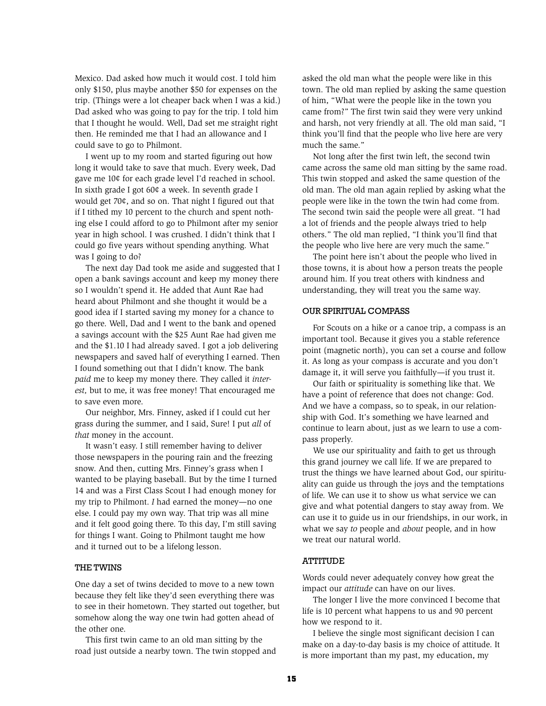Mexico. Dad asked how much it would cost. I told him only \$150, plus maybe another \$50 for expenses on the trip. (Things were a lot cheaper back when I was a kid.) Dad asked who was going to pay for the trip. I told him that I thought he would. Well, Dad set me straight right then. He reminded me that I had an allowance and I could save to go to Philmont.

I went up to my room and started figuring out how long it would take to save that much. Every week, Dad gave me 10¢ for each grade level I'd reached in school. In sixth grade I got 60¢ a week. In seventh grade I would get 70¢, and so on. That night I figured out that if I tithed my 10 percent to the church and spent nothing else I could afford to go to Philmont after my senior year in high school. I was crushed. I didn't think that I could go five years without spending anything. What was I going to do?

The next day Dad took me aside and suggested that I open a bank savings account and keep my money there so I wouldn't spend it. He added that Aunt Rae had heard about Philmont and she thought it would be a good idea if I started saving my money for a chance to go there. Well, Dad and I went to the bank and opened a savings account with the \$25 Aunt Rae had given me and the \$1.10 I had already saved. I got a job delivering newspapers and saved half of everything I earned. Then I found something out that I didn't know. The bank *paid* me to keep my money there. They called it *interest,* but to me, it was free money! That encouraged me to save even more.

Our neighbor, Mrs. Finney, asked if I could cut her grass during the summer, and I said, Sure! I put *all* of *that* money in the account.

It wasn't easy. I still remember having to deliver those newspapers in the pouring rain and the freezing snow. And then, cutting Mrs. Finney's grass when I wanted to be playing baseball. But by the time I turned 14 and was a First Class Scout I had enough money for my trip to Philmont. *I* had earned the money—no one else. I could pay my own way. That trip was all mine and it felt good going there. To this day, I'm still saving for things I want. Going to Philmont taught me how and it turned out to be a lifelong lesson.

### The Twins

One day a set of twins decided to move to a new town because they felt like they'd seen everything there was to see in their hometown. They started out together, but somehow along the way one twin had gotten ahead of the other one.

This first twin came to an old man sitting by the road just outside a nearby town. The twin stopped and asked the old man what the people were like in this town. The old man replied by asking the same question of him, "What were the people like in the town you came from?" The first twin said they were very unkind and harsh, not very friendly at all. The old man said, "I think you'll find that the people who live here are very much the same."

Not long after the first twin left, the second twin came across the same old man sitting by the same road. This twin stopped and asked the same question of the old man. The old man again replied by asking what the people were like in the town the twin had come from. The second twin said the people were all great. "I had a lot of friends and the people always tried to help others." The old man replied, "I think you'll find that the people who live here are very much the same."

The point here isn't about the people who lived in those towns, it is about how a person treats the people around him. If you treat others with kindness and understanding, they will treat you the same way.

#### Our Spiritual Compass

For Scouts on a hike or a canoe trip, a compass is an important tool. Because it gives you a stable reference point (magnetic north), you can set a course and follow it. As long as your compass is accurate and you don't damage it, it will serve you faithfully—if you trust it.

Our faith or spirituality is something like that. We have a point of reference that does not change: God. And we have a compass, so to speak, in our relationship with God. It's something we have learned and continue to learn about, just as we learn to use a compass properly.

We use our spirituality and faith to get us through this grand journey we call life. If we are prepared to trust the things we have learned about God, our spirituality can guide us through the joys and the temptations of life. We can use it to show us what service we can give and what potential dangers to stay away from. We can use it to guide us in our friendships, in our work, in what we say *to* people and *about* people, and in how we treat our natural world.

### **ATTITUDE**

Words could never adequately convey how great the impact our *attitude* can have on our lives.

The longer I live the more convinced I become that life is 10 percent what happens to us and 90 percent how we respond to it.

I believe the single most significant decision I can make on a day-to-day basis is my choice of attitude. It is more important than my past, my education, my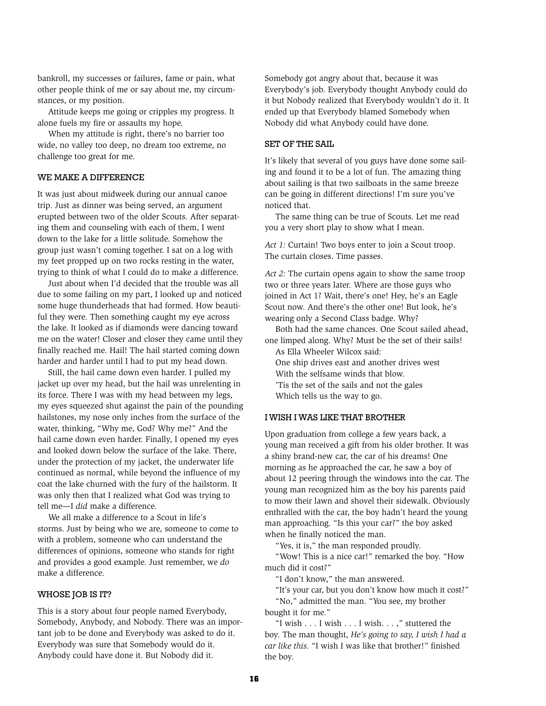bankroll, my successes or failures, fame or pain, what other people think of me or say about me, my circumstances, or my position.

Attitude keeps me going or cripples my progress. It alone fuels my fire or assaults my hope.

When my attitude is right, there's no barrier too wide, no valley too deep, no dream too extreme, no challenge too great for me.

### WE MAKE A DIFFERENCE

It was just about midweek during our annual canoe trip. Just as dinner was being served, an argument erupted between two of the older Scouts. After separating them and counseling with each of them, I went down to the lake for a little solitude. Somehow the group just wasn't coming together. I sat on a log with my feet propped up on two rocks resting in the water, trying to think of what I could do to make a difference.

Just about when I'd decided that the trouble was all due to some failing on my part, I looked up and noticed some huge thunderheads that had formed. How beautiful they were. Then something caught my eye across the lake. It looked as if diamonds were dancing toward me on the water! Closer and closer they came until they finally reached me. Hail! The hail started coming down harder and harder until I had to put my head down.

Still, the hail came down even harder. I pulled my jacket up over my head, but the hail was unrelenting in its force. There I was with my head between my legs, my eyes squeezed shut against the pain of the pounding hailstones, my nose only inches from the surface of the water, thinking, "Why me, God? Why me?" And the hail came down even harder. Finally, I opened my eyes and looked down below the surface of the lake. There, under the protection of my jacket, the underwater life continued as normal, while beyond the influence of my coat the lake churned with the fury of the hailstorm. It was only then that I realized what God was trying to tell me—I *did* make a difference.

We all make a difference to a Scout in life's storms. Just by being who we are, someone to come to with a problem, someone who can understand the differences of opinions, someone who stands for right and provides a good example. Just remember, we *do* make a difference.

#### WHOSE JOB IS IT?

This is a story about four people named Everybody, Somebody, Anybody, and Nobody. There was an important job to be done and Everybody was asked to do it. Everybody was sure that Somebody would do it. Anybody could have done it. But Nobody did it.

Somebody got angry about that, because it was Everybody's job. Everybody thought Anybody could do it but Nobody realized that Everybody wouldn't do it. It ended up that Everybody blamed Somebody when Nobody did what Anybody could have done.

#### SET OF THE SAIL

It's likely that several of you guys have done some sailing and found it to be a lot of fun. The amazing thing about sailing is that two sailboats in the same breeze can be going in different directions! I'm sure you've noticed that.

The same thing can be true of Scouts. Let me read you a very short play to show what I mean.

*Act 1:* Curtain! Two boys enter to join a Scout troop. The curtain closes. Time passes.

*Act 2:* The curtain opens again to show the same troop two or three years later. Where are those guys who joined in Act 1? Wait, there's one! Hey, he's an Eagle Scout now. And there's the other one! But look, he's wearing only a Second Class badge. Why?

Both had the same chances. One Scout sailed ahead, one limped along. Why? Must be the set of their sails!

- As Ella Wheeler Wilcox said:
- One ship drives east and another drives west With the selfsame winds that blow.
- 'Tis the set of the sails and not the gales
- Which tells us the way to go.

#### I Wish I Was Like That Brother

Upon graduation from college a few years back, a young man received a gift from his older brother. It was a shiny brand-new car, the car of his dreams! One morning as he approached the car, he saw a boy of about 12 peering through the windows into the car. The young man recognized him as the boy his parents paid to mow their lawn and shovel their sidewalk. Obviously enthralled with the car, the boy hadn't heard the young man approaching. "Is this your car?" the boy asked when he finally noticed the man.

"Yes, it is," the man responded proudly.

"Wow! This is a nice car!" remarked the boy. "How much did it cost?"

"I don't know," the man answered.

"It's your car, but you don't know how much it cost?" "No," admitted the man. "You see, my brother bought it for me."

"I wish ... I wish ... I wish... ," stuttered the boy. The man thought, *He's going to say, I wish I had a car like this.* "I wish I was like that brother!" finished the boy.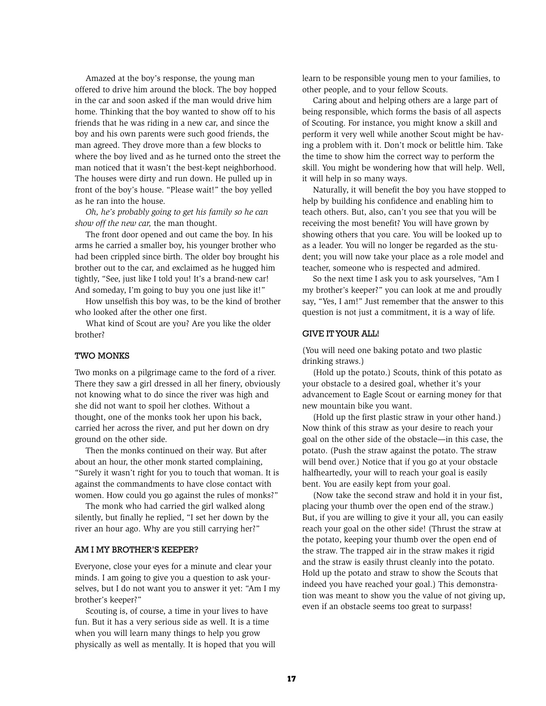Amazed at the boy's response, the young man offered to drive him around the block. The boy hopped in the car and soon asked if the man would drive him home. Thinking that the boy wanted to show off to his friends that he was riding in a new car, and since the boy and his own parents were such good friends, the man agreed. They drove more than a few blocks to where the boy lived and as he turned onto the street the man noticed that it wasn't the best-kept neighborhood. The houses were dirty and run down. He pulled up in front of the boy's house. "Please wait!" the boy yelled as he ran into the house.

*Oh, he's probably going to get his family so he can show off the new car,* the man thought.

The front door opened and out came the boy. In his arms he carried a smaller boy, his younger brother who had been crippled since birth. The older boy brought his brother out to the car, and exclaimed as he hugged him tightly, "See, just like I told you! It's a brand-new car! And someday, I'm going to buy you one just like it!"

How unselfish this boy was, to be the kind of brother who looked after the other one first.

What kind of Scout are you? Are you like the older brother?

### Two Monks

Two monks on a pilgrimage came to the ford of a river. There they saw a girl dressed in all her finery, obviously not knowing what to do since the river was high and she did not want to spoil her clothes. Without a thought, one of the monks took her upon his back, carried her across the river, and put her down on dry ground on the other side.

Then the monks continued on their way. But after about an hour, the other monk started complaining, "Surely it wasn't right for you to touch that woman. It is against the commandments to have close contact with women. How could you go against the rules of monks?"

The monk who had carried the girl walked along silently, but finally he replied, "I set her down by the river an hour ago. Why are you still carrying her?"

### Am I My Brother's Keeper?

Everyone, close your eyes for a minute and clear your minds. I am going to give you a question to ask yourselves, but I do not want you to answer it yet: "Am I my brother's keeper?"

Scouting is, of course, a time in your lives to have fun. But it has a very serious side as well. It is a time when you will learn many things to help you grow physically as well as mentally. It is hoped that you will learn to be responsible young men to your families, to other people, and to your fellow Scouts.

Caring about and helping others are a large part of being responsible, which forms the basis of all aspects of Scouting. For instance, you might know a skill and perform it very well while another Scout might be having a problem with it. Don't mock or belittle him. Take the time to show him the correct way to perform the skill. You might be wondering how that will help. Well, it will help in so many ways.

Naturally, it will benefit the boy you have stopped to help by building his confidence and enabling him to teach others. But, also, can't you see that you will be receiving the most benefit? You will have grown by showing others that you care. You will be looked up to as a leader. You will no longer be regarded as the student; you will now take your place as a role model and teacher, someone who is respected and admired.

So the next time I ask you to ask yourselves, "Am I my brother's keeper?" you can look at me and proudly say, "Yes, I am!" Just remember that the answer to this question is not just a commitment, it is a way of life.

### GIVE IT YOUR ALL!

(You will need one baking potato and two plastic drinking straws.)

(Hold up the potato.) Scouts, think of this potato as your obstacle to a desired goal, whether it's your advancement to Eagle Scout or earning money for that new mountain bike you want.

(Hold up the first plastic straw in your other hand.) Now think of this straw as your desire to reach your goal on the other side of the obstacle—in this case, the potato. (Push the straw against the potato. The straw will bend over.) Notice that if you go at your obstacle halfheartedly, your will to reach your goal is easily bent. You are easily kept from your goal.

(Now take the second straw and hold it in your fist, placing your thumb over the open end of the straw.) But, if you are willing to give it your all, you can easily reach your goal on the other side! (Thrust the straw at the potato, keeping your thumb over the open end of the straw. The trapped air in the straw makes it rigid and the straw is easily thrust cleanly into the potato. Hold up the potato and straw to show the Scouts that indeed you have reached your goal.) This demonstration was meant to show you the value of not giving up, even if an obstacle seems too great to surpass!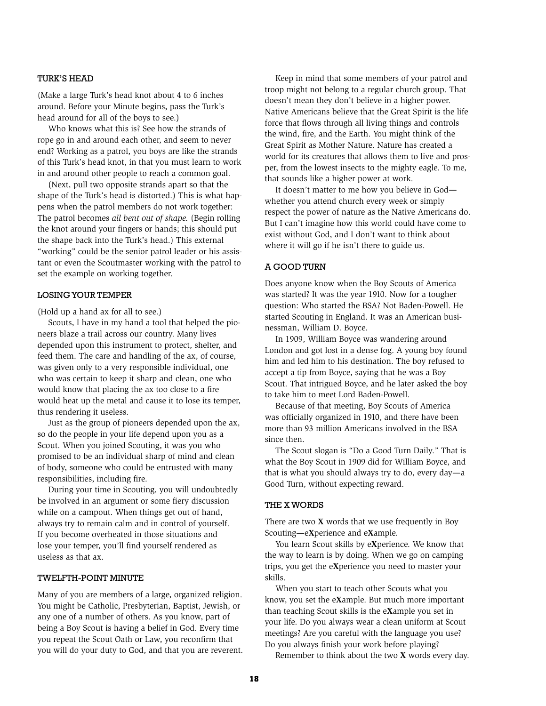### Turk's Head

(Make a large Turk's head knot about 4 to 6 inches around. Before your Minute begins, pass the Turk's head around for all of the boys to see.)

Who knows what this is? See how the strands of rope go in and around each other, and seem to never end? Working as a patrol, you boys are like the strands of this Turk's head knot, in that you must learn to work in and around other people to reach a common goal.

(Next, pull two opposite strands apart so that the shape of the Turk's head is distorted.) This is what happens when the patrol members do not work together: The patrol becomes *all bent out of shape.* (Begin rolling the knot around your fingers or hands; this should put the shape back into the Turk's head.) This external "working" could be the senior patrol leader or his assistant or even the Scoutmaster working with the patrol to set the example on working together.

### Losing Your Temper

(Hold up a hand ax for all to see.)

Scouts, I have in my hand a tool that helped the pioneers blaze a trail across our country. Many lives depended upon this instrument to protect, shelter, and feed them. The care and handling of the ax, of course, was given only to a very responsible individual, one who was certain to keep it sharp and clean, one who would know that placing the ax too close to a fire would heat up the metal and cause it to lose its temper, thus rendering it useless.

Just as the group of pioneers depended upon the ax, so do the people in your life depend upon you as a Scout. When you joined Scouting, it was you who promised to be an individual sharp of mind and clean of body, someone who could be entrusted with many responsibilities, including fire.

During your time in Scouting, you will undoubtedly be involved in an argument or some fiery discussion while on a campout. When things get out of hand, always try to remain calm and in control of yourself. If you become overheated in those situations and lose your temper, you'll find yourself rendered as useless as that ax.

### TWELFTH-POINT MINUTE

Many of you are members of a large, organized religion. You might be Catholic, Presbyterian, Baptist, Jewish, or any one of a number of others. As you know, part of being a Boy Scout is having a belief in God. Every time you repeat the Scout Oath or Law, you reconfirm that you will do your duty to God, and that you are reverent.

Keep in mind that some members of your patrol and troop might not belong to a regular church group. That doesn't mean they don't believe in a higher power. Native Americans believe that the Great Spirit is the life force that flows through all living things and controls the wind, fire, and the Earth. You might think of the Great Spirit as Mother Nature. Nature has created a world for its creatures that allows them to live and prosper, from the lowest insects to the mighty eagle. To me, that sounds like a higher power at work.

It doesn't matter to me how you believe in God whether you attend church every week or simply respect the power of nature as the Native Americans do. But I can't imagine how this world could have come to exist without God, and I don't want to think about where it will go if he isn't there to guide us.

#### A Good Turn

Does anyone know when the Boy Scouts of America was started? It was the year 1910. Now for a tougher question: Who started the BSA? Not Baden-Powell. He started Scouting in England. It was an American businessman, William D. Boyce.

In 1909, William Boyce was wandering around London and got lost in a dense fog. A young boy found him and led him to his destination. The boy refused to accept a tip from Boyce, saying that he was a Boy Scout. That intrigued Boyce, and he later asked the boy to take him to meet Lord Baden-Powell.

Because of that meeting, Boy Scouts of America was officially organized in 1910, and there have been more than 93 million Americans involved in the BSA since then.

The Scout slogan is "Do a Good Turn Daily." That is what the Boy Scout in 1909 did for William Boyce, and that is what you should always try to do, every day—a Good Turn, without expecting reward.

### THE X WORDS

There are two **X** words that we use frequently in Boy Scouting—e**X**perience and e**X**ample.

You learn Scout skills by e**X**perience. We know that the way to learn is by doing. When we go on camping trips, you get the e**X**perience you need to master your skills.

When you start to teach other Scouts what you know, you set the e**X**ample. But much more important than teaching Scout skills is the e**X**ample you set in your life. Do you always wear a clean uniform at Scout meetings? Are you careful with the language you use? Do you always finish your work before playing?

Remember to think about the two **X** words every day.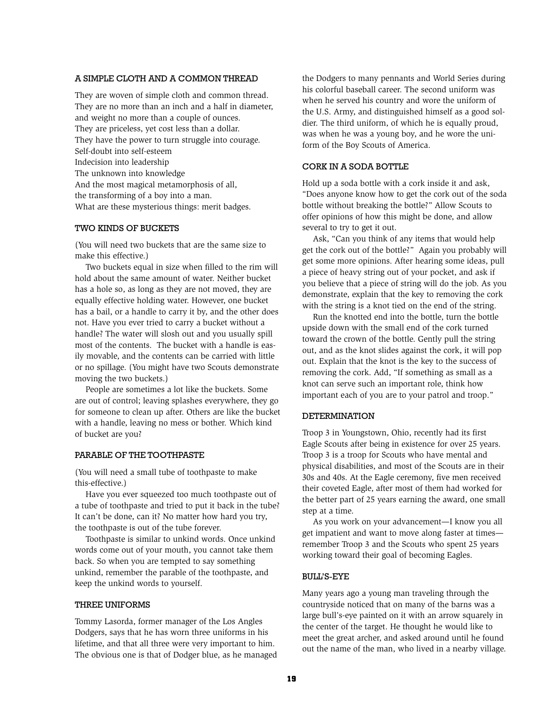### A Simple Cloth and a Common Thread

They are woven of simple cloth and common thread. They are no more than an inch and a half in diameter, and weight no more than a couple of ounces. They are priceless, yet cost less than a dollar. They have the power to turn struggle into courage. Self-doubt into self-esteem Indecision into leadership The unknown into knowledge And the most magical metamorphosis of all, the transforming of a boy into a man. What are these mysterious things: merit badges.

#### Two Kinds of Buckets

(You will need two buckets that are the same size to make this effective.)

Two buckets equal in size when filled to the rim will hold about the same amount of water. Neither bucket has a hole so, as long as they are not moved, they are equally effective holding water. However, one bucket has a bail, or a handle to carry it by, and the other does not. Have you ever tried to carry a bucket without a handle? The water will slosh out and you usually spill most of the contents. The bucket with a handle is easily movable, and the contents can be carried with little or no spillage. (You might have two Scouts demonstrate moving the two buckets.)

People are sometimes a lot like the buckets. Some are out of control; leaving splashes everywhere, they go for someone to clean up after. Others are like the bucket with a handle, leaving no mess or bother. Which kind of bucket are you?

### Parable of the Toothpaste

(You will need a small tube of toothpaste to make this-effective.)

Have you ever squeezed too much toothpaste out of a tube of toothpaste and tried to put it back in the tube? It can't be done, can it? No matter how hard you try, the toothpaste is out of the tube forever.

Toothpaste is similar to unkind words. Once unkind words come out of your mouth, you cannot take them back. So when you are tempted to say something unkind, remember the parable of the toothpaste, and keep the unkind words to yourself.

#### Three Uniforms

Tommy Lasorda, former manager of the Los Angles Dodgers, says that he has worn three uniforms in his lifetime, and that all three were very important to him. The obvious one is that of Dodger blue, as he managed the Dodgers to many pennants and World Series during his colorful baseball career. The second uniform was when he served his country and wore the uniform of the U.S. Army, and distinguished himself as a good soldier. The third uniform, of which he is equally proud, was when he was a young boy, and he wore the uniform of the Boy Scouts of America.

### Cork in a Soda Bottle

Hold up a soda bottle with a cork inside it and ask, "Does anyone know how to get the cork out of the soda bottle without breaking the bottle?" Allow Scouts to offer opinions of how this might be done, and allow several to try to get it out.

Ask, "Can you think of any items that would help get the cork out of the bottle?" Again you probably will get some more opinions. After hearing some ideas, pull a piece of heavy string out of your pocket, and ask if you believe that a piece of string will do the job. As you demonstrate, explain that the key to removing the cork with the string is a knot tied on the end of the string.

Run the knotted end into the bottle, turn the bottle upside down with the small end of the cork turned toward the crown of the bottle. Gently pull the string out, and as the knot slides against the cork, it will pop out. Explain that the knot is the key to the success of removing the cork. Add, "If something as small as a knot can serve such an important role, think how important each of you are to your patrol and troop."

#### **DETERMINATION**

Troop 3 in Youngstown, Ohio, recently had its first Eagle Scouts after being in existence for over 25 years. Troop 3 is a troop for Scouts who have mental and physical disabilities, and most of the Scouts are in their 30s and 40s. At the Eagle ceremony, five men received their coveted Eagle, after most of them had worked for the better part of 25 years earning the award, one small step at a time.

As you work on your advancement—I know you all get impatient and want to move along faster at times remember Troop 3 and the Scouts who spent 25 years working toward their goal of becoming Eagles.

#### Bull's-Eye

Many years ago a young man traveling through the countryside noticed that on many of the barns was a large bull's-eye painted on it with an arrow squarely in the center of the target. He thought he would like to meet the great archer, and asked around until he found out the name of the man, who lived in a nearby village.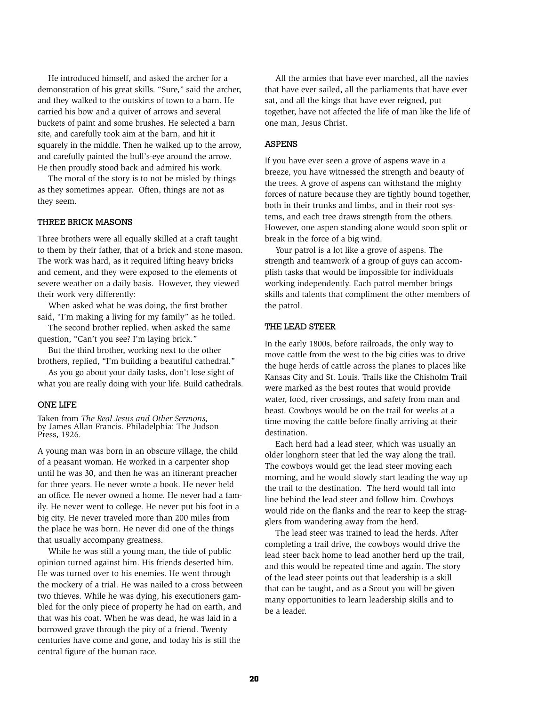He introduced himself, and asked the archer for a demonstration of his great skills. "Sure," said the archer, and they walked to the outskirts of town to a barn. He carried his bow and a quiver of arrows and several buckets of paint and some brushes. He selected a barn site, and carefully took aim at the barn, and hit it squarely in the middle. Then he walked up to the arrow, and carefully painted the bull's-eye around the arrow. He then proudly stood back and admired his work.

The moral of the story is to not be misled by things as they sometimes appear. Often, things are not as they seem.

#### Three Brick Masons

Three brothers were all equally skilled at a craft taught to them by their father, that of a brick and stone mason. The work was hard, as it required lifting heavy bricks and cement, and they were exposed to the elements of severe weather on a daily basis. However, they viewed their work very differently:

When asked what he was doing, the first brother said, "I'm making a living for my family" as he toiled.

The second brother replied, when asked the same question, "Can't you see? I'm laying brick."

But the third brother, working next to the other brothers, replied, "I'm building a beautiful cathedral."

As you go about your daily tasks, don't lose sight of what you are really doing with your life. Build cathedrals.

#### One Life

Taken from *The Real Jesus and Other Sermons,* by James Allan Francis. Philadelphia: The Judson Press, 1926.

A young man was born in an obscure village, the child of a peasant woman. He worked in a carpenter shop until he was 30, and then he was an itinerant preacher for three years. He never wrote a book. He never held an office. He never owned a home. He never had a family. He never went to college. He never put his foot in a big city. He never traveled more than 200 miles from the place he was born. He never did one of the things that usually accompany greatness.

While he was still a young man, the tide of public opinion turned against him. His friends deserted him. He was turned over to his enemies. He went through the mockery of a trial. He was nailed to a cross between two thieves. While he was dying, his executioners gambled for the only piece of property he had on earth, and that was his coat. When he was dead, he was laid in a borrowed grave through the pity of a friend. Twenty centuries have come and gone, and today his is still the central figure of the human race.

All the armies that have ever marched, all the navies that have ever sailed, all the parliaments that have ever sat, and all the kings that have ever reigned, put together, have not affected the life of man like the life of one man, Jesus Christ.

#### **ASPENS**

If you have ever seen a grove of aspens wave in a breeze, you have witnessed the strength and beauty of the trees. A grove of aspens can withstand the mighty forces of nature because they are tightly bound together, both in their trunks and limbs, and in their root systems, and each tree draws strength from the others. However, one aspen standing alone would soon split or break in the force of a big wind.

Your patrol is a lot like a grove of aspens. The strength and teamwork of a group of guys can accomplish tasks that would be impossible for individuals working independently. Each patrol member brings skills and talents that compliment the other members of the patrol.

#### The Lead Steer

In the early 1800s, before railroads, the only way to move cattle from the west to the big cities was to drive the huge herds of cattle across the planes to places like Kansas City and St. Louis. Trails like the Chisholm Trail were marked as the best routes that would provide water, food, river crossings, and safety from man and beast. Cowboys would be on the trail for weeks at a time moving the cattle before finally arriving at their destination.

Each herd had a lead steer, which was usually an older longhorn steer that led the way along the trail. The cowboys would get the lead steer moving each morning, and he would slowly start leading the way up the trail to the destination. The herd would fall into line behind the lead steer and follow him. Cowboys would ride on the flanks and the rear to keep the stragglers from wandering away from the herd.

The lead steer was trained to lead the herds. After completing a trail drive, the cowboys would drive the lead steer back home to lead another herd up the trail, and this would be repeated time and again. The story of the lead steer points out that leadership is a skill that can be taught, and as a Scout you will be given many opportunities to learn leadership skills and to be a leader.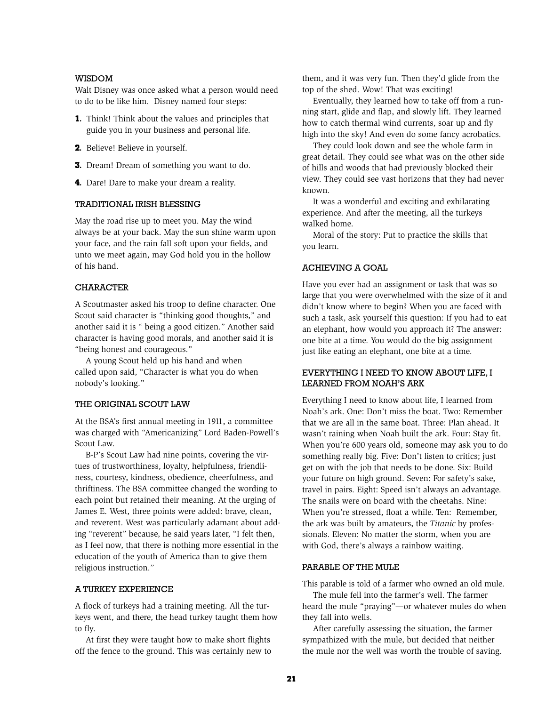### **WISDOM**

Walt Disney was once asked what a person would need to do to be like him. Disney named four steps:

- **1.** Think! Think about the values and principles that guide you in your business and personal life.
- **2.** Believe! Believe in yourself.
- **3.** Dream! Dream of something you want to do.
- **4.** Dare! Dare to make your dream a reality.

#### Traditional Irish Blessing

May the road rise up to meet you. May the wind always be at your back. May the sun shine warm upon your face, and the rain fall soft upon your fields, and unto we meet again, may God hold you in the hollow of his hand.

#### **CHARACTER**

A Scoutmaster asked his troop to define character. One Scout said character is "thinking good thoughts," and another said it is " being a good citizen." Another said character is having good morals, and another said it is "being honest and courageous."

A young Scout held up his hand and when called upon said, "Character is what you do when nobody's looking."

### THE ORIGINAL SCOUT LAW

At the BSA's first annual meeting in 1911, a committee was charged with "Americanizing" Lord Baden-Powell's Scout Law.

B-P's Scout Law had nine points, covering the virtues of trustworthiness, loyalty, helpfulness, friendliness, courtesy, kindness, obedience, cheerfulness, and thriftiness. The BSA committee changed the wording to each point but retained their meaning. At the urging of James E. West, three points were added: brave, clean, and reverent. West was particularly adamant about adding "reverent" because, he said years later, "I felt then, as I feel now, that there is nothing more essential in the education of the youth of America than to give them religious instruction."

### A Turkey Experience

A flock of turkeys had a training meeting. All the turkeys went, and there, the head turkey taught them how to fly.

At first they were taught how to make short flights off the fence to the ground. This was certainly new to them, and it was very fun. Then they'd glide from the top of the shed. Wow! That was exciting!

Eventually, they learned how to take off from a running start, glide and flap, and slowly lift. They learned how to catch thermal wind currents, soar up and fly high into the sky! And even do some fancy acrobatics.

They could look down and see the whole farm in great detail. They could see what was on the other side of hills and woods that had previously blocked their view. They could see vast horizons that they had never known.

It was a wonderful and exciting and exhilarating experience. And after the meeting, all the turkeys walked home.

Moral of the story: Put to practice the skills that you learn.

#### Achieving a Goal

Have you ever had an assignment or task that was so large that you were overwhelmed with the size of it and didn't know where to begin? When you are faced with such a task, ask yourself this question: If you had to eat an elephant, how would you approach it? The answer: one bite at a time. You would do the big assignment just like eating an elephant, one bite at a time.

# Everything I Need to Know About Life, I Learned From Noah's Ark

Everything I need to know about life, I learned from Noah's ark. One: Don't miss the boat. Two: Remember that we are all in the same boat. Three: Plan ahead. It wasn't raining when Noah built the ark. Four: Stay fit. When you're 600 years old, someone may ask you to do something really big. Five: Don't listen to critics; just get on with the job that needs to be done. Six: Build your future on high ground. Seven: For safety's sake, travel in pairs. Eight: Speed isn't always an advantage. The snails were on board with the cheetahs. Nine: When you're stressed, float a while. Ten: Remember, the ark was built by amateurs, the *Titanic* by professionals. Eleven: No matter the storm, when you are with God, there's always a rainbow waiting.

#### Parable of the Mule

This parable is told of a farmer who owned an old mule.

The mule fell into the farmer's well. The farmer heard the mule "praying"—or whatever mules do when they fall into wells.

After carefully assessing the situation, the farmer sympathized with the mule, but decided that neither the mule nor the well was worth the trouble of saving.